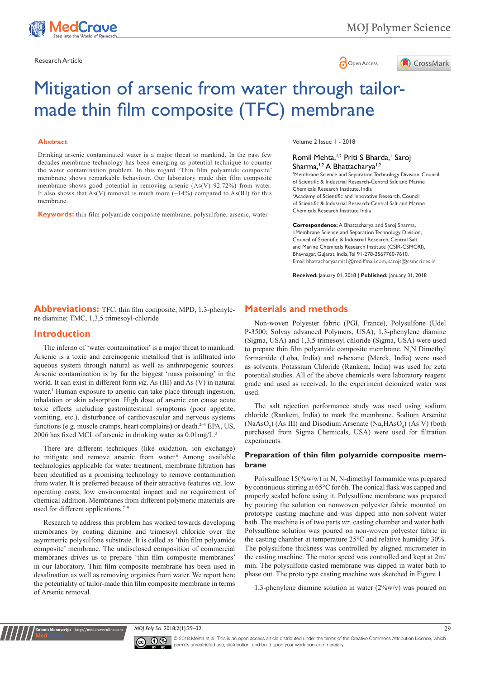



# Mitigation of arsenic from water through tailormade thin film composite (TFC) membrane

#### **Abstract**

Drinking arsenic contaminated water is a major threat to mankind. In the past few decades membrane technology has been emerging as potential technique to counter the water contamination problem. In this regard 'Thin film polyamide composite' membrane shows remarkable behaviour. Our laboratory made thin film composite membrane shows good potential in removing arsenic (As(V) 92.72%) from water. It also shows that As(V) removal is much more  $(\sim 14\%)$  compared to As(III) for this membrane.

**Keywords:** thin film polyamide composite membrane, polysulfone, arsenic, water

Volume 2 Issue 1 - 2018

### Romil Mehta,<sup>1,2</sup> Priti S Bharda,<sup>1</sup> Saroj Sharma,<sup>1,2</sup> A Bhattacharya<sup>1,2</sup>

1 Membrane Science and Separation Technology Division, Council of Scientific & Industrial Research-Central Salt and Marine Chemicals Research Institute, India 2 Academy of Scientific and Innovative Research, Council of Scientific & Industrial Research-Central Salt and Marine Chemicals Research Institute India

**Correspondence:** A Bhattacharya and Saroj Sharma, 1Membrane Science and Separation Technology Division, Council of Scientific & Industrial Research, Central Salt and Marine Chemicals Research Institute (CSIR-CSMCRI), Bhavnagar, Gujarat, India, Tel 91-278-2567760-7610, Email bhattacharyaamit1@rediffmail.com, sarojs@csmcri.res.in

**Received:** January 01, 2018 | **Published:** January 31, 2018

**Abbreviations:** TFC, thin film composite; MPD, 1,3-phenylene diamine; TMC, 1,3,5 trimesoyl-chloride

# **Introduction**

**it Manuscript** | http://medcraveo

The inferno of 'water contamination' is a major threat to mankind. Arsenic is a toxic and carcinogenic metalloid that is infiltrated into aqueous system through natural as well as anthropogenic sources. Arsenic contamination is by far the biggest 'mass poisoning' in the world. It can exist in different form *viz*. As (III) and As (V) in natural water.<sup>1</sup> Human exposure to arsenic can take place through ingestion, inhalation or skin adsorption. High dose of arsenic can cause acute toxic effects including gastrointestinal symptoms (poor appetite, vomiting, etc.), disturbance of cardiovascular and nervous systems functions (e.g. muscle cramps, heart complains) or death. $2-4$  EPA, US, 2006 has fixed MCL of arsenic in drinking water as 0.01mg/L.5

There are different techniques (like oxidation, ion exchange) to mitigate and remove arsenic from water.<sup>6</sup> Among available technologies applicable for water treatment, membrane filtration has been identified as a promising technology to remove contamination from water. It is preferred because of their attractive features *viz*. low operating costs, low environmental impact and no requirement of chemical addition. Membranes from different polymeric materials are used for different applications.<sup>7-9</sup>

Research to address this problem has worked towards developing membranes by coating diamine and trimesoyl chloride over the asymmetric polysulfone substrate. It is called as 'thin film polyamide composite' membrane. The undisclosed composition of commercial membranes drives us to prepare 'thin film composite membranes' in our laboratory. Thin film composite membrane has been used in desalination as well as removing organics from water. We report here the potentiality of tailor-made thin film composite membrane in terms of Arsenic removal.

# **Materials and methods**

Non-woven Polyester fabric (PGI, France), Polysulfone (Udel P-3500; Solvay advanced Polymers, USA), 1,3-phenylene diamine (Sigma, USA) and 1,3,5 trimesoyl chloride (Sigma, USA) were used to prepare thin film polyamide composite membrane. N,N Dimethyl formamide (Loba, India) and n-hexane (Merck, India) were used as solvents. Potassium Chloride (Rankem, India) was used for zeta potential studies. All of the above chemicals were laboratory reagent grade and used as received. In the experiment deionized water was used.

The salt rejection performance study was used using sodium chloride (Rankem, India) to mark the membrane. Sodium Arsenite  $(NaAsO<sub>2</sub>)$  (As III) and Disodium Arsenate  $(Na<sub>2</sub>HAsO<sub>4</sub>)$  (As V) (both purchased from Sigma Chemicals, USA) were used for filtration experiments.

# **Preparation of thin film polyamide composite membrane**

Polysulfone 15(%w/w) in N, N-dimethyl formamide was prepared by continuous stirring at 65°C for 6h. The conical flask was capped and properly sealed before using it. Polysulfone membrane was prepared by pouring the solution on nonwoven polyester fabric mounted on prototype casting machine and was dipped into non-solvent water bath. The machine is of two parts *viz*. casting chamber and water bath. Polysulfone solution was poured on non-woven polyester fabric in the casting chamber at temperature 25°C and relative humidity 30%. The polysulfone thickness was controlled by aligned micrometer in the casting machine. The motor speed was controlled and kept at 2m/ min. The polysulfone casted membrane was dipped in water bath to phase out. The proto type casting machine was sketched in Figure 1.

1,3-phenylene diamine solution in water (2%w/v) was poured on





© 2018 Mehta et al. This is an open access article distributed under the terms of the [Creative Commons Attribution License,](https://creativecommons.org/licenses/by-nc/4.0/) which permits unrestricted use, distribution, and build upon your work non-commercially.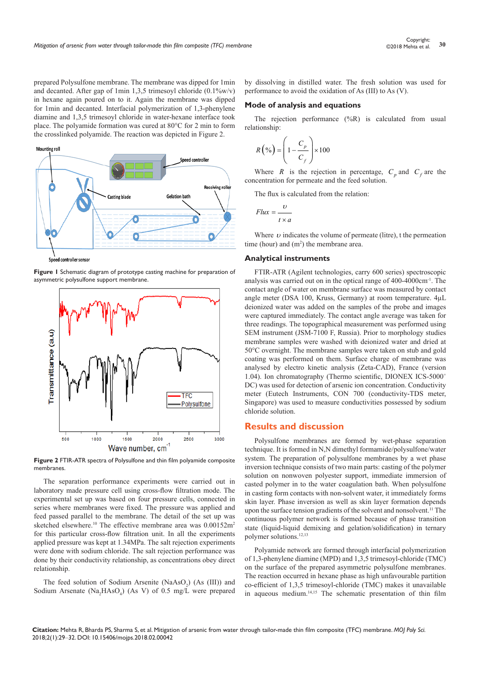prepared Polysulfone membrane. The membrane was dipped for 1min and decanted. After gap of 1min 1,3,5 trimesoyl chloride  $(0.1\% \text{w/v})$ in hexane again poured on to it. Again the membrane was dipped for 1min and decanted. Interfacial polymerization of 1,3-phenylene diamine and 1,3,5 trimesoyl chloride in water-hexane interface took place. The polyamide formation was cured at 80°C for 2 min to form the crosslinked polyamide. The reaction was depicted in Figure 2.



controller sensor

**Figure 1** Schematic diagram of prototype casting machine for preparation of asymmetric polysulfone support membrane.



**Figure 2** FTIR-ATR spectra of Polysulfone and thin film polyamide composite membranes.

The separation performance experiments were carried out in laboratory made pressure cell using cross-flow filtration mode. The experimental set up was based on four pressure cells, connected in series where membranes were fixed. The pressure was applied and feed passed parallel to the membrane. The detail of the set up was sketched elsewhere.<sup>10</sup> The effective membrane area was  $0.00152m^2$ for this particular cross-flow filtration unit. In all the experiments applied pressure was kept at 1.34MPa. The salt rejection experiments were done with sodium chloride. The salt rejection performance was done by their conductivity relationship, as concentrations obey direct relationship.

The feed solution of Sodium Arsenite (NaAsO<sub>2</sub>) (As (III)) and Sodium Arsenate ( $Na<sub>2</sub>HAsO<sub>4</sub>$ ) (As V) of 0.5 mg/L were prepared by dissolving in distilled water. The fresh solution was used for performance to avoid the oxidation of As (III) to As (V).

#### **Mode of analysis and equations**

The rejection performance (%R) is calculated from usual relationship:

$$
R\left(\%\right) = \left(1 - \frac{C_p}{C_f}\right) \times 100
$$

Where *R* is the rejection in percentage,  $C_p$  and  $C_f$  are the concentration for permeate and the feed solution.

The flux is calculated from the relation:

$$
Flux = \frac{v}{t \times a}
$$

Where  $\nu$  indicates the volume of permeate (litre), t the permeation time (hour) and  $(m<sup>2</sup>)$  the membrane area.

#### **Analytical instruments**

FTIR-ATR (Agilent technologies, carry 600 series) spectroscopic analysis was carried out on in the optical range of 400-4000cm-1. The contact angle of water on membrane surface was measured by contact angle meter (DSA 100, Kruss, Germany) at room temperature. 4µL deionized water was added on the samples of the probe and images were captured immediately. The contact angle average was taken for three readings. The topographical measurement was performed using SEM instrument (JSM-7100 F, Russia). Prior to morphology studies membrane samples were washed with deionized water and dried at 50°C overnight. The membrane samples were taken on stub and gold coating was performed on them. Surface charge of membrane was analysed by electro kinetic analysis (Zeta-CAD), France (version 1.04). Ion chromatography (Thermo scientific, DIONEX ICS-5000<sup>+</sup> DC) was used for detection of arsenic ion concentration. Conductivity meter (Eutech Instruments, CON 700 (conductivity-TDS meter, Singapore) was used to measure conductivities possessed by sodium chloride solution.

# **Results and discussion**

Polysulfone membranes are formed by wet-phase separation technique. It is formed in N,N dimethyl formamide/polysulfone/water system. The preparation of polysulfone membranes by a wet phase inversion technique consists of two main parts: casting of the polymer solution on nonwoven polyester support, immediate immersion of casted polymer in to the water coagulation bath. When polysulfone in casting form contacts with non-solvent water, it immediately forms skin layer. Phase inversion as well as skin layer formation depends upon the surface tension gradients of the solvent and nonsolvent.<sup>11</sup> The continuous polymer network is formed because of phase transition state (liquid-liquid demixing and gelation/solidification) in ternary polymer solutions.<sup>12,13</sup>

Polyamide network are formed through interfacial polymerization of 1,3-phenylene diamine (MPD) and 1,3,5 trimesoyl-chloride (TMC) on the surface of the prepared asymmetric polysulfone membranes. The reaction occurred in hexane phase as high unfavourable partition co-efficient of 1,3,5 trimesoyl-chloride (TMC) makes it unavailable in aqueous medium.14,15 The schematic presentation of thin film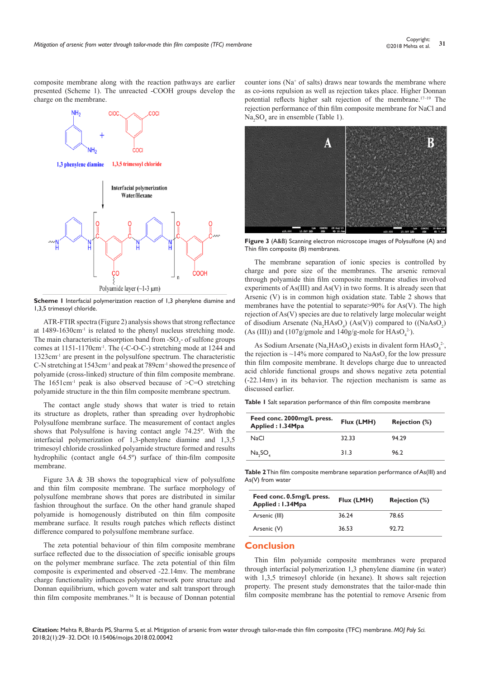composite membrane along with the reaction pathways are earlier presented (Scheme 1). The unreacted -COOH groups develop the charge on the membrane.



**Scheme I** Interfacial polymerization reaction of 1,3 phenylene diamine and 1,3,5 trimesoyl chloride.

ATR-FTIR spectra (Figure 2) analysis shows that strong reflectance at 1489-1630cm-1 is related to the phenyl nucleus stretching mode. The main characteristic absorption band from  $-SO_2$ - of sulfone groups comes at 1151-1170cm-1. The (-C-O-C-) stretching mode at 1244 and 1323cm-1 are present in the polysulfone spectrum. The characteristic C-N stretching at 1543cm-1 and peak at 789cm-1 showed the presence of polyamide (cross-linked) structure of thin film composite membrane. The  $1651 \text{cm}^{-1}$  peak is also observed because of  $\geq C=O$  stretching polyamide structure in the thin film composite membrane spectrum.

The contact angle study shows that water is tried to retain its structure as droplets, rather than spreading over hydrophobic Polysulfone membrane surface. The measurement of contact angles shows that Polysulfone is having contact angle 74.25º. With the interfacial polymerization of 1,3-phenylene diamine and 1,3,5 trimesoyl chloride crosslinked polyamide structure formed and results hydrophilic (contact angle 64.5º) surface of thin-film composite membrane.

Figure 3A & 3B shows the topographical view of polysulfone and thin film composite membrane. The surface morphology of polysulfone membrane shows that pores are distributed in similar fashion throughout the surface. On the other hand granule shaped polyamide is homogenously distributed on thin film composite membrane surface. It results rough patches which reflects distinct difference compared to polysulfone membrane surface.

The zeta potential behaviour of thin film composite membrane surface reflected due to the dissociation of specific ionisable groups on the polymer membrane surface. The zeta potential of thin film composite is experimented and observed -22.14mv. The membrane charge functionality influences polymer network pore structure and Donnan equilibrium, which govern water and salt transport through thin film composite membranes.16 It is because of Donnan potential

counter ions (Na<sup>+</sup> of salts) draws near towards the membrane where as co-ions repulsion as well as rejection takes place. Higher Donnan potential reflects higher salt rejection of the membrane.17–19 The rejection performance of thin film composite membrane for NaCl and  $Na<sub>2</sub>SO<sub>4</sub>$  are in ensemble (Table 1).



**Figure 3** (A&B) Scanning electron microscope images of Polysulfone (A) and Thin film composite (B) membranes.

The membrane separation of ionic species is controlled by charge and pore size of the membranes. The arsenic removal through polyamide thin film composite membrane studies involved experiments of As(III) and As(V) in two forms. It is already seen that Arsenic (V) is in common high oxidation state. Table 2 shows that membranes have the potential to separate  $>90\%$  for As(V). The high rejection of As(V) species are due to relatively large molecular weight of disodium Arsenate ( $Na<sub>2</sub>HAsO<sub>4</sub>$ ) (As(V)) compared to ((NaAsO<sub>2</sub>) (As (III)) and (107g/gmole and  $140g/g$ -mole for  $HAsO<sub>4</sub><sup>2</sup>$ ).

As Sodium Arsenate (Na<sub>2</sub>HAsO<sub>4</sub>) exists in divalent form  $HASO<sub>4</sub><sup>2</sup>$ , the rejection is  $\sim$ 14% more compared to NaAsO<sub>2</sub> for the low pressure thin film composite membrane. It develops charge due to unreacted acid chloride functional groups and shows negative zeta potential (-22.14mv) in its behavior. The rejection mechanism is same as discussed earlier.

**Table 1** Salt separation performance of thin film composite membrane

| Feed conc. 2000mg/L press.<br>Applied: 1.34Mpa | Flux (LMH) | <b>Rejection (%)</b> |
|------------------------------------------------|------------|----------------------|
| NaCl                                           | 32.33      | 94.29                |
| Na, SO                                         | 31.3       | 96.2                 |
|                                                |            |                      |

**Table 2** Thin film composite membrane separation performance of As(III) and As(V) from water

| Feed conc. 0.5mg/L press.<br>Applied: 1.34Mpa | Flux (LMH) | <b>Rejection (%)</b> |
|-----------------------------------------------|------------|----------------------|
| Arsenic (III)                                 | 36.24      | 78.65                |
| Arsenic (V)                                   | 36.53      | 92.72                |

# **Conclusion**

Thin film polyamide composite membranes were prepared through interfacial polymerization 1,3 phenylene diamine (in water) with 1,3,5 trimesoyl chloride (in hexane). It shows salt rejection property. The present study demonstrates that the tailor-made thin film composite membrane has the potential to remove Arsenic from

**Citation:** Mehta R, Bharda PS, Sharma S, et al. Mitigation of arsenic from water through tailor-made thin film composite (TFC) membrane. *MOJ Poly Sci.* 2018;2(1):29‒32. DOI: [10.15406/mojps.2018.02.00042](https://doi.org/10.15406/mojps.2018.02.00042
)